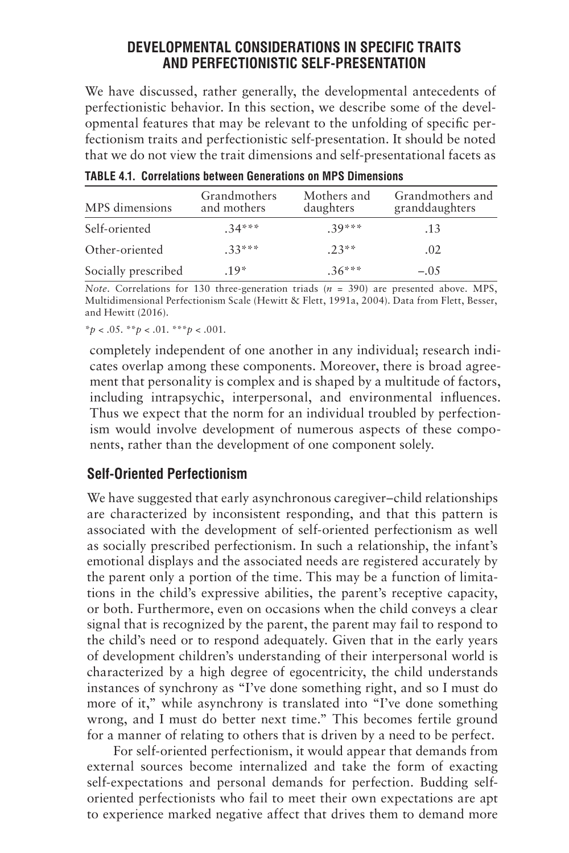## **DEVELOPMENTAL CONSIDERATIONS IN SPECIFIC TRAITS AND PERFECTIONISTIC SELF-PRESENTATION**

We have discussed, rather generally, the developmental antecedents of perfectionistic behavior. In this section, we describe some of the developmental features that may be relevant to the unfolding of specific perfectionism traits and perfectionistic self-presentation. It should be noted that we do not view the trait dimensions and self-presentational facets as

| MPS dimensions      | Grandmothers<br>and mothers | Mothers and<br>daughters | Grandmothers and<br>granddaughters |  |
|---------------------|-----------------------------|--------------------------|------------------------------------|--|
| Self-oriented       | $.34***$                    | $.39***$                 | .13                                |  |
| Other-oriented      | $.33***$                    | $.23**$                  | .02                                |  |
| Socially prescribed | $.19*$                      | $.36***$                 | $-.0.5$                            |  |

|  |  |  | <b>TABLE 4.1. Correlations between Generations on MPS Dimensions</b> |  |  |
|--|--|--|----------------------------------------------------------------------|--|--|
|--|--|--|----------------------------------------------------------------------|--|--|

*Note.* Correlations for 130 three-generation triads (*n* = 390) are presented above. MPS, Multidimensional Perfectionism Scale (Hewitt & Flett, 1991a, 2004). Data from Flett, Besser, and Hewitt (2016).

\**p* < .05. \*\**p* < .01. \*\*\**p* < .001.

completely independent of one another in any individual; research indicates overlap among these components. Moreover, there is broad agreement that personality is complex and is shaped by a multitude of factors, including intrapsychic, interpersonal, and environmental influences. Thus we expect that the norm for an individual troubled by perfectionism would involve development of numerous aspects of these components, rather than the development of one component solely.

# **Self-Oriented Perfectionism**

We have suggested that early asynchronous caregiver–child relationships are characterized by inconsistent responding, and that this pattern is associated with the development of self-oriented perfectionism as well as socially prescribed perfectionism. In such a relationship, the infant's emotional displays and the associated needs are registered accurately by the parent only a portion of the time. This may be a function of limitations in the child's expressive abilities, the parent's receptive capacity, or both. Furthermore, even on occasions when the child conveys a clear signal that is recognized by the parent, the parent may fail to respond to the child's need or to respond adequately. Given that in the early years of development children's understanding of their interpersonal world is characterized by a high degree of egocentricity, the child understands instances of synchrony as "I've done something right, and so I must do more of it," while asynchrony is translated into "I've done something wrong, and I must do better next time." This becomes fertile ground for a manner of relating to others that is driven by a need to be perfect.

For self-oriented perfectionism, it would appear that demands from external sources become internalized and take the form of exacting self-expectations and personal demands for perfection. Budding selforiented perfectionists who fail to meet their own expectations are apt to experience marked negative affect that drives them to demand more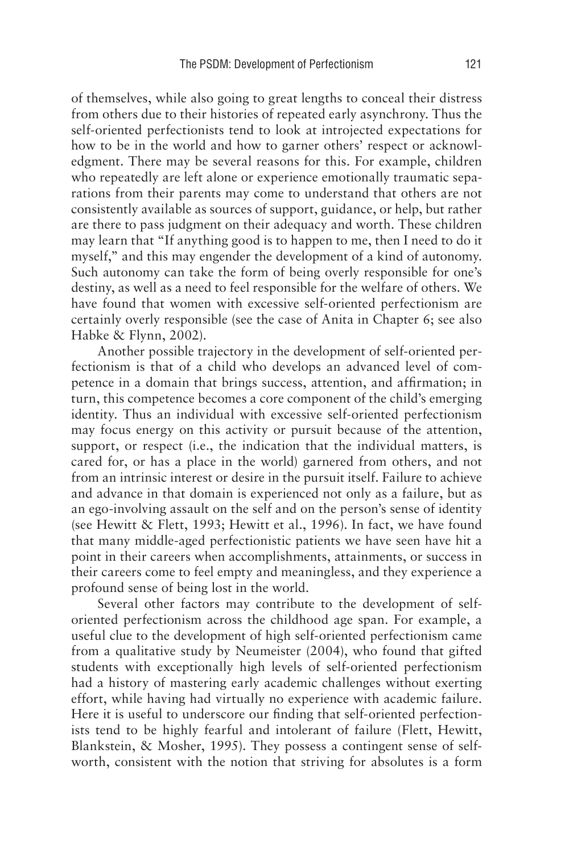of themselves, while also going to great lengths to conceal their distress from others due to their histories of repeated early asynchrony. Thus the self-oriented perfectionists tend to look at introjected expectations for how to be in the world and how to garner others' respect or acknowledgment. There may be several reasons for this. For example, children who repeatedly are left alone or experience emotionally traumatic separations from their parents may come to understand that others are not consistently available as sources of support, guidance, or help, but rather are there to pass judgment on their adequacy and worth. These children may learn that "If anything good is to happen to me, then I need to do it myself," and this may engender the development of a kind of autonomy. Such autonomy can take the form of being overly responsible for one's destiny, as well as a need to feel responsible for the welfare of others. We have found that women with excessive self-oriented perfectionism are certainly overly responsible (see the case of Anita in Chapter 6; see also Habke & Flynn, 2002).

Another possible trajectory in the development of self-oriented perfectionism is that of a child who develops an advanced level of competence in a domain that brings success, attention, and affirmation; in turn, this competence becomes a core component of the child's emerging identity. Thus an individual with excessive self-oriented perfectionism may focus energy on this activity or pursuit because of the attention, support, or respect (i.e., the indication that the individual matters, is cared for, or has a place in the world) garnered from others, and not from an intrinsic interest or desire in the pursuit itself. Failure to achieve and advance in that domain is experienced not only as a failure, but as an ego-involving assault on the self and on the person's sense of identity (see Hewitt & Flett, 1993; Hewitt et al., 1996). In fact, we have found that many middle-aged perfectionistic patients we have seen have hit a point in their careers when accomplishments, attainments, or success in their careers come to feel empty and meaningless, and they experience a profound sense of being lost in the world.

Several other factors may contribute to the development of selforiented perfectionism across the childhood age span. For example, a useful clue to the development of high self-oriented perfectionism came from a qualitative study by Neumeister (2004), who found that gifted students with exceptionally high levels of self-oriented perfectionism had a history of mastering early academic challenges without exerting effort, while having had virtually no experience with academic failure. Here it is useful to underscore our finding that self-oriented perfectionists tend to be highly fearful and intolerant of failure (Flett, Hewitt, Blankstein, & Mosher, 1995). They possess a contingent sense of selfworth, consistent with the notion that striving for absolutes is a form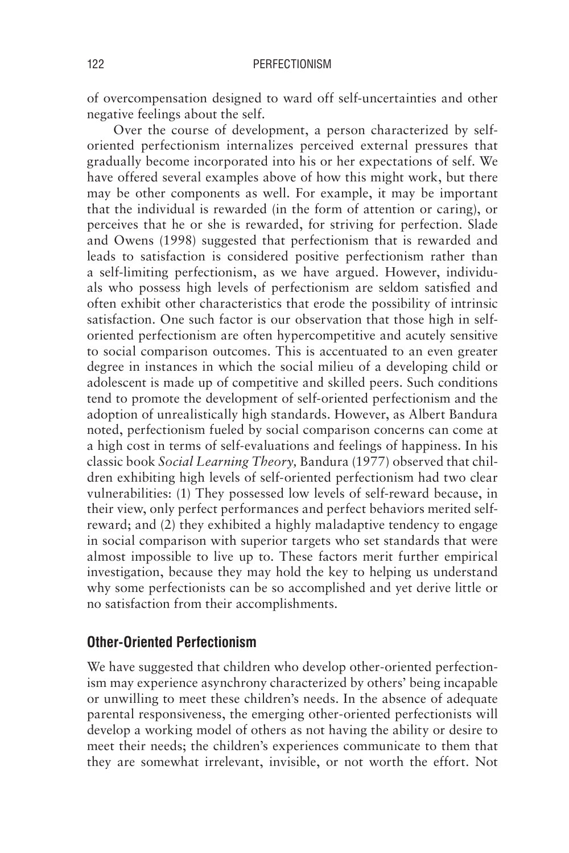of overcompensation designed to ward off self-uncertainties and other negative feelings about the self.

Over the course of development, a person characterized by selforiented perfectionism internalizes perceived external pressures that gradually become incorporated into his or her expectations of self. We have offered several examples above of how this might work, but there may be other components as well. For example, it may be important that the individual is rewarded (in the form of attention or caring), or perceives that he or she is rewarded, for striving for perfection. Slade and Owens (1998) suggested that perfectionism that is rewarded and leads to satisfaction is considered positive perfectionism rather than a self-limiting perfectionism, as we have argued. However, individuals who possess high levels of perfectionism are seldom satisfied and often exhibit other characteristics that erode the possibility of intrinsic satisfaction. One such factor is our observation that those high in selforiented perfectionism are often hypercompetitive and acutely sensitive to social comparison outcomes. This is accentuated to an even greater degree in instances in which the social milieu of a developing child or adolescent is made up of competitive and skilled peers. Such conditions tend to promote the development of self-oriented perfectionism and the adoption of unrealistically high standards. However, as Albert Bandura noted, perfectionism fueled by social comparison concerns can come at a high cost in terms of self-evaluations and feelings of happiness. In his classic book *Social Learning Theory,* Bandura (1977) observed that children exhibiting high levels of self-oriented perfectionism had two clear vulnerabilities: (1) They possessed low levels of self-reward because, in their view, only perfect performances and perfect behaviors merited selfreward; and (2) they exhibited a highly maladaptive tendency to engage in social comparison with superior targets who set standards that were almost impossible to live up to. These factors merit further empirical investigation, because they may hold the key to helping us understand why some perfectionists can be so accomplished and yet derive little or no satisfaction from their accomplishments.

## **Other-Oriented Perfectionism**

We have suggested that children who develop other-oriented perfectionism may experience asynchrony characterized by others' being incapable or unwilling to meet these children's needs. In the absence of adequate parental responsiveness, the emerging other-oriented perfectionists will develop a working model of others as not having the ability or desire to meet their needs; the children's experiences communicate to them that they are somewhat irrelevant, invisible, or not worth the effort. Not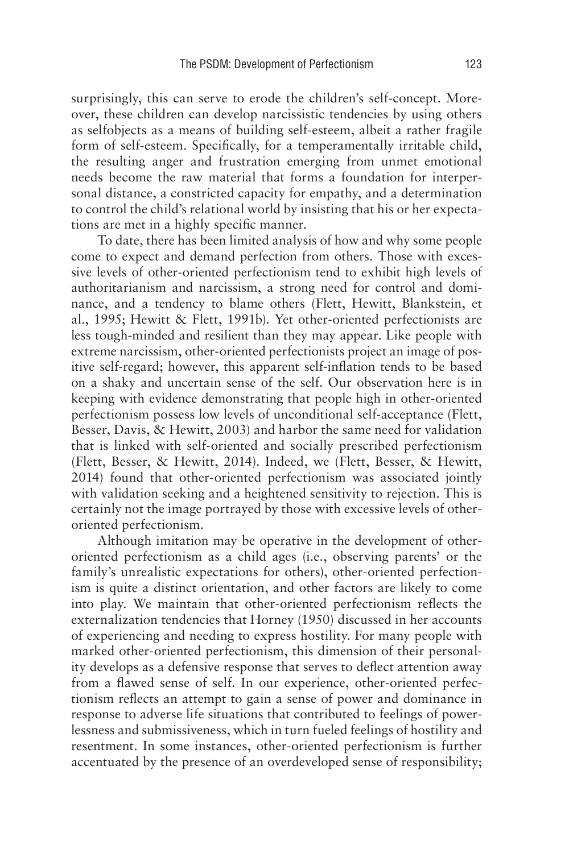surprisingly, this can serve to erode the children's self-concept. Moreover, these children can develop narcissistic tendencies by using others as selfobjects as a means of building self-esteem, albeit a rather fragile form of self-esteem. Specifically, for a temperamentally irritable child, the resulting anger and frustration emerging from unmet emotional needs become the raw material that forms a foundation for interpersonal distance, a constricted capacity for empathy, and a determination to control the child's relational world by insisting that his or her expectations are met in a highly specific manner.

To date, there has been limited analysis of how and why some people come to expect and demand perfection from others. Those with excessive levels of other-oriented perfectionism tend to exhibit high levels of authoritarianism and narcissism, a strong need for control and dominance, and a tendency to blame others (Flett, Hewitt, Blankstein, et al., 1995; Hewitt & Flett, 1991b). Yet other-oriented perfectionists are less tough-minded and resilient than they may appear. Like people with extreme narcissism, other-oriented perfectionists project an image of positive self-regard; however, this apparent self-inflation tends to be based on a shaky and uncertain sense of the self. Our observation here is in keeping with evidence demonstrating that people high in other-oriented perfectionism possess low levels of unconditional self-acceptance (Flett, Besser, Davis, & Hewitt, 2003) and harbor the same need for validation that is linked with self-oriented and socially prescribed perfectionism (Flett, Besser, & Hewitt, 2014). Indeed, we (Flett, Besser, & Hewitt, 2014) found that other-oriented perfectionism was associated jointly with validation seeking and a heightened sensitivity to rejection. This is certainly not the image portrayed by those with excessive levels of otheroriented perfectionism.

Although imitation may be operative in the development of otheroriented perfectionism as a child ages (i.e., observing parents' or the family's unrealistic expectations for others), other-oriented perfectionism is quite a distinct orientation, and other factors are likely to come into play. We maintain that other-oriented perfectionism reflects the externalization tendencies that Horney (1950) discussed in her accounts of experiencing and needing to express hostility. For many people with marked other-oriented perfectionism, this dimension of their personality develops as a defensive response that serves to deflect attention away from a flawed sense of self. In our experience, other-oriented perfectionism reflects an attempt to gain a sense of power and dominance in response to adverse life situations that contributed to feelings of powerlessness and submissiveness, which in turn fueled feelings of hostility and resentment. In some instances, other-oriented perfectionism is further accentuated by the presence of an overdeveloped sense of responsibility;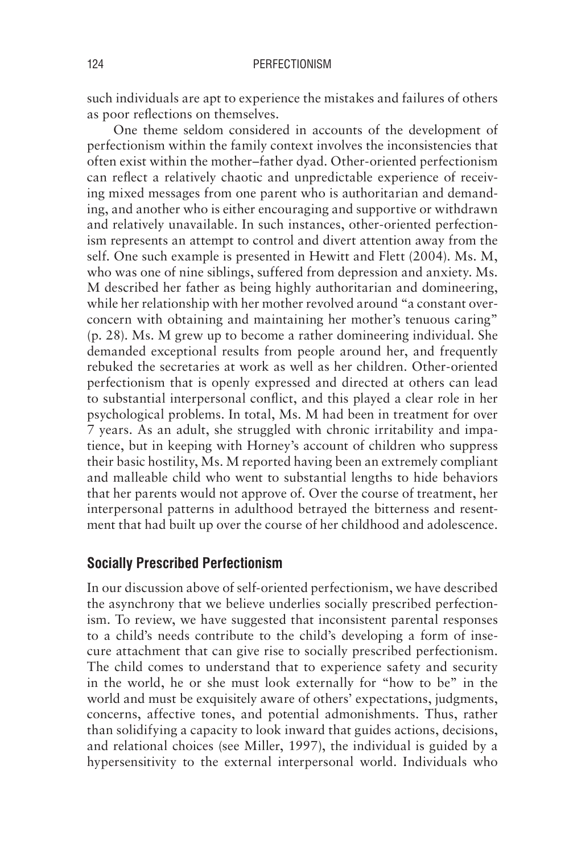such individuals are apt to experience the mistakes and failures of others as poor reflections on themselves.

One theme seldom considered in accounts of the development of perfectionism within the family context involves the inconsistencies that often exist within the mother–father dyad. Other-oriented perfectionism can reflect a relatively chaotic and unpredictable experience of receiving mixed messages from one parent who is authoritarian and demanding, and another who is either encouraging and supportive or withdrawn and relatively unavailable. In such instances, other-oriented perfectionism represents an attempt to control and divert attention away from the self. One such example is presented in Hewitt and Flett (2004). Ms. M, who was one of nine siblings, suffered from depression and anxiety. Ms. M described her father as being highly authoritarian and domineering, while her relationship with her mother revolved around "a constant overconcern with obtaining and maintaining her mother's tenuous caring" (p. 28). Ms. M grew up to become a rather domineering individual. She demanded exceptional results from people around her, and frequently rebuked the secretaries at work as well as her children. Other-oriented perfectionism that is openly expressed and directed at others can lead to substantial interpersonal conflict, and this played a clear role in her psychological problems. In total, Ms. M had been in treatment for over 7 years. As an adult, she struggled with chronic irritability and impatience, but in keeping with Horney's account of children who suppress their basic hostility, Ms. M reported having been an extremely compliant and malleable child who went to substantial lengths to hide behaviors that her parents would not approve of. Over the course of treatment, her interpersonal patterns in adulthood betrayed the bitterness and resentment that had built up over the course of her childhood and adolescence.

## **Socially Prescribed Perfectionism**

In our discussion above of self-oriented perfectionism, we have described the asynchrony that we believe underlies socially prescribed perfectionism. To review, we have suggested that inconsistent parental responses to a child's needs contribute to the child's developing a form of insecure attachment that can give rise to socially prescribed perfectionism. The child comes to understand that to experience safety and security in the world, he or she must look externally for "how to be" in the world and must be exquisitely aware of others' expectations, judgments, concerns, affective tones, and potential admonishments. Thus, rather than solidifying a capacity to look inward that guides actions, decisions, and relational choices (see Miller, 1997), the individual is guided by a hypersensitivity to the external interpersonal world. Individuals who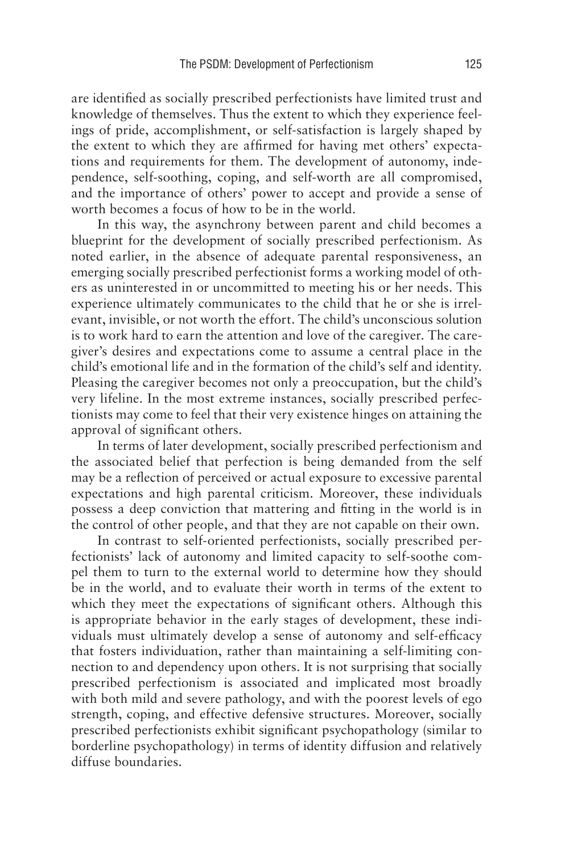are identified as socially prescribed perfectionists have limited trust and knowledge of themselves. Thus the extent to which they experience feelings of pride, accomplishment, or self-satisfaction is largely shaped by the extent to which they are affirmed for having met others' expectations and requirements for them. The development of autonomy, independence, self-soothing, coping, and self-worth are all compromised, and the importance of others' power to accept and provide a sense of worth becomes a focus of how to be in the world.

In this way, the asynchrony between parent and child becomes a blueprint for the development of socially prescribed perfectionism. As noted earlier, in the absence of adequate parental responsiveness, an emerging socially prescribed perfectionist forms a working model of others as uninterested in or uncommitted to meeting his or her needs. This experience ultimately communicates to the child that he or she is irrelevant, invisible, or not worth the effort. The child's unconscious solution is to work hard to earn the attention and love of the caregiver. The caregiver's desires and expectations come to assume a central place in the child's emotional life and in the formation of the child's self and identity. Pleasing the caregiver becomes not only a preoccupation, but the child's very lifeline. In the most extreme instances, socially prescribed perfectionists may come to feel that their very existence hinges on attaining the approval of significant others.

In terms of later development, socially prescribed perfectionism and the associated belief that perfection is being demanded from the self may be a reflection of perceived or actual exposure to excessive parental expectations and high parental criticism. Moreover, these individuals possess a deep conviction that mattering and fitting in the world is in the control of other people, and that they are not capable on their own.

In contrast to self-oriented perfectionists, socially prescribed perfectionists' lack of autonomy and limited capacity to self-soothe compel them to turn to the external world to determine how they should be in the world, and to evaluate their worth in terms of the extent to which they meet the expectations of significant others. Although this is appropriate behavior in the early stages of development, these individuals must ultimately develop a sense of autonomy and self-efficacy that fosters individuation, rather than maintaining a self-limiting connection to and dependency upon others. It is not surprising that socially prescribed perfectionism is associated and implicated most broadly with both mild and severe pathology, and with the poorest levels of ego strength, coping, and effective defensive structures. Moreover, socially prescribed perfectionists exhibit significant psychopathology (similar to borderline psychopathology) in terms of identity diffusion and relatively diffuse boundaries.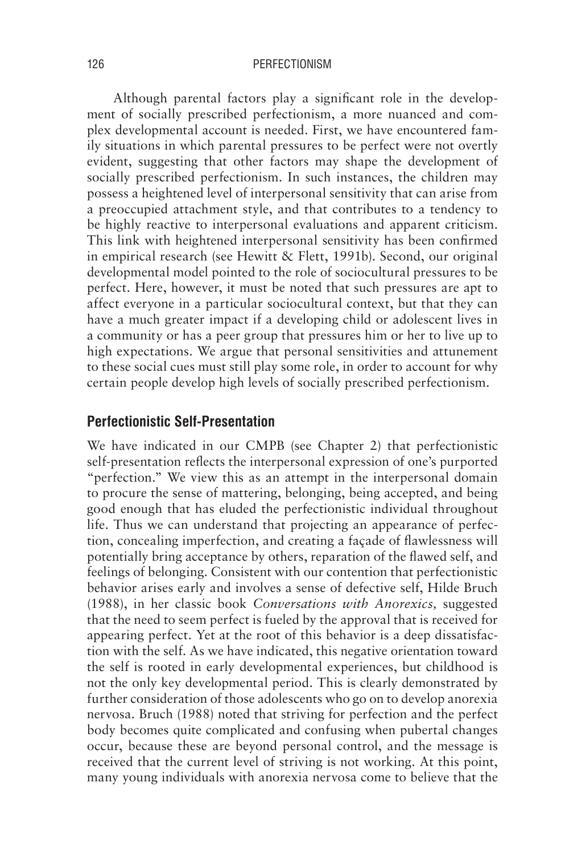#### 126 PERFECTIONISM

Although parental factors play a significant role in the development of socially prescribed perfectionism, a more nuanced and complex developmental account is needed. First, we have encountered family situations in which parental pressures to be perfect were not overtly evident, suggesting that other factors may shape the development of socially prescribed perfectionism. In such instances, the children may possess a heightened level of interpersonal sensitivity that can arise from a preoccupied attachment style, and that contributes to a tendency to be highly reactive to interpersonal evaluations and apparent criticism. This link with heightened interpersonal sensitivity has been confirmed in empirical research (see Hewitt & Flett, 1991b). Second, our original developmental model pointed to the role of sociocultural pressures to be perfect. Here, however, it must be noted that such pressures are apt to affect everyone in a particular sociocultural context, but that they can have a much greater impact if a developing child or adolescent lives in a community or has a peer group that pressures him or her to live up to high expectations. We argue that personal sensitivities and attunement to these social cues must still play some role, in order to account for why certain people develop high levels of socially prescribed perfectionism.

### **Perfectionistic Self-Presentation**

We have indicated in our CMPB (see Chapter 2) that perfectionistic self-presentation reflects the interpersonal expression of one's purported "perfection." We view this as an attempt in the interpersonal domain to procure the sense of mattering, belonging, being accepted, and being good enough that has eluded the perfectionistic individual throughout life. Thus we can understand that projecting an appearance of perfection, concealing imperfection, and creating a façade of flawlessness will potentially bring acceptance by others, reparation of the flawed self, and feelings of belonging. Consistent with our contention that perfectionistic behavior arises early and involves a sense of defective self, Hilde Bruch (1988), in her classic book *Conversations with Anorexics,* suggested that the need to seem perfect is fueled by the approval that is received for appearing perfect. Yet at the root of this behavior is a deep dissatisfaction with the self. As we have indicated, this negative orientation toward the self is rooted in early developmental experiences, but childhood is not the only key developmental period. This is clearly demonstrated by further consideration of those adolescents who go on to develop anorexia nervosa. Bruch (1988) noted that striving for perfection and the perfect body becomes quite complicated and confusing when pubertal changes occur, because these are beyond personal control, and the message is received that the current level of striving is not working. At this point, many young individuals with anorexia nervosa come to believe that the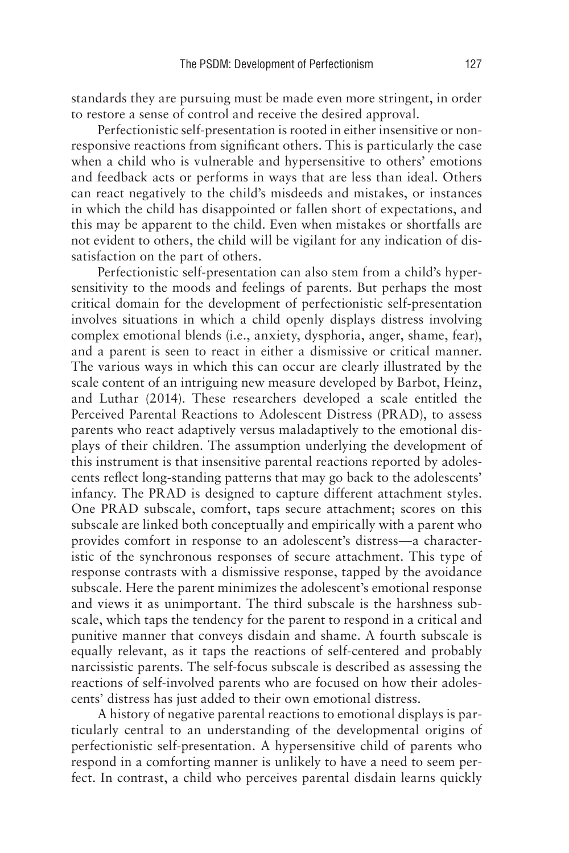standards they are pursuing must be made even more stringent, in order to restore a sense of control and receive the desired approval.

Perfectionistic self-presentation is rooted in either insensitive or nonresponsive reactions from significant others. This is particularly the case when a child who is vulnerable and hypersensitive to others' emotions and feedback acts or performs in ways that are less than ideal. Others can react negatively to the child's misdeeds and mistakes, or instances in which the child has disappointed or fallen short of expectations, and this may be apparent to the child. Even when mistakes or shortfalls are not evident to others, the child will be vigilant for any indication of dissatisfaction on the part of others.

Perfectionistic self-presentation can also stem from a child's hypersensitivity to the moods and feelings of parents. But perhaps the most critical domain for the development of perfectionistic self-presentation involves situations in which a child openly displays distress involving complex emotional blends (i.e., anxiety, dysphoria, anger, shame, fear), and a parent is seen to react in either a dismissive or critical manner. The various ways in which this can occur are clearly illustrated by the scale content of an intriguing new measure developed by Barbot, Heinz, and Luthar (2014). These researchers developed a scale entitled the Perceived Parental Reactions to Adolescent Distress (PRAD), to assess parents who react adaptively versus maladaptively to the emotional displays of their children. The assumption underlying the development of this instrument is that insensitive parental reactions reported by adolescents reflect long-standing patterns that may go back to the adolescents' infancy. The PRAD is designed to capture different attachment styles. One PRAD subscale, comfort, taps secure attachment; scores on this subscale are linked both conceptually and empirically with a parent who provides comfort in response to an adolescent's distress—a characteristic of the synchronous responses of secure attachment. This type of response contrasts with a dismissive response, tapped by the avoidance subscale. Here the parent minimizes the adolescent's emotional response and views it as unimportant. The third subscale is the harshness subscale, which taps the tendency for the parent to respond in a critical and punitive manner that conveys disdain and shame. A fourth subscale is equally relevant, as it taps the reactions of self-centered and probably narcissistic parents. The self-focus subscale is described as assessing the reactions of self-involved parents who are focused on how their adolescents' distress has just added to their own emotional distress.

A history of negative parental reactions to emotional displays is particularly central to an understanding of the developmental origins of perfectionistic self-presentation. A hypersensitive child of parents who respond in a comforting manner is unlikely to have a need to seem perfect. In contrast, a child who perceives parental disdain learns quickly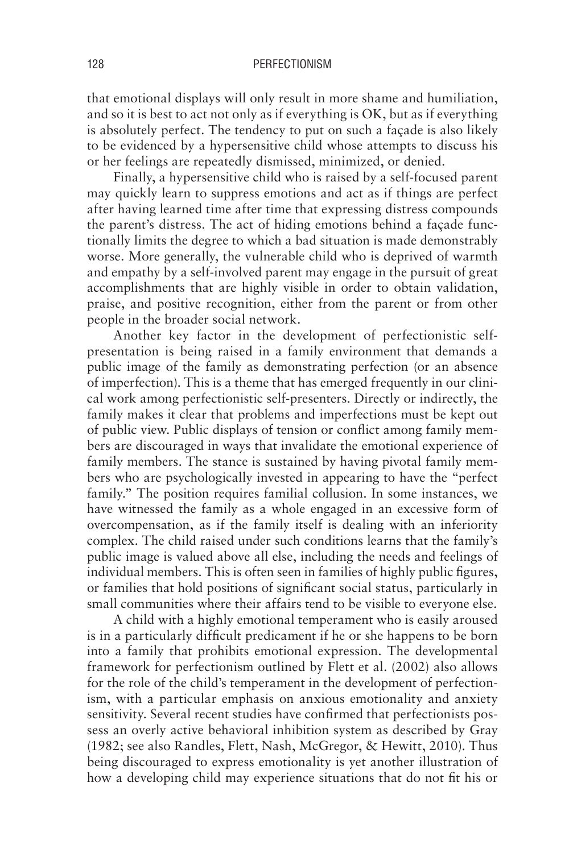#### 128 PERFECTIONISM

that emotional displays will only result in more shame and humiliation, and so it is best to act not only as if everything is OK, but as if everything is absolutely perfect. The tendency to put on such a façade is also likely to be evidenced by a hypersensitive child whose attempts to discuss his or her feelings are repeatedly dismissed, minimized, or denied.

Finally, a hypersensitive child who is raised by a self-focused parent may quickly learn to suppress emotions and act as if things are perfect after having learned time after time that expressing distress compounds the parent's distress. The act of hiding emotions behind a façade functionally limits the degree to which a bad situation is made demonstrably worse. More generally, the vulnerable child who is deprived of warmth and empathy by a self-involved parent may engage in the pursuit of great accomplishments that are highly visible in order to obtain validation, praise, and positive recognition, either from the parent or from other people in the broader social network.

Another key factor in the development of perfectionistic selfpresentation is being raised in a family environment that demands a public image of the family as demonstrating perfection (or an absence of imperfection). This is a theme that has emerged frequently in our clinical work among perfectionistic self-presenters. Directly or indirectly, the family makes it clear that problems and imperfections must be kept out of public view. Public displays of tension or conflict among family members are discouraged in ways that invalidate the emotional experience of family members. The stance is sustained by having pivotal family members who are psychologically invested in appearing to have the "perfect family." The position requires familial collusion. In some instances, we have witnessed the family as a whole engaged in an excessive form of overcompensation, as if the family itself is dealing with an inferiority complex. The child raised under such conditions learns that the family's public image is valued above all else, including the needs and feelings of individual members. This is often seen in families of highly public figures, or families that hold positions of significant social status, particularly in small communities where their affairs tend to be visible to everyone else.

A child with a highly emotional temperament who is easily aroused is in a particularly difficult predicament if he or she happens to be born into a family that prohibits emotional expression. The developmental framework for perfectionism outlined by Flett et al. (2002) also allows for the role of the child's temperament in the development of perfectionism, with a particular emphasis on anxious emotionality and anxiety sensitivity. Several recent studies have confirmed that perfectionists possess an overly active behavioral inhibition system as described by Gray (1982; see also Randles, Flett, Nash, McGregor, & Hewitt, 2010). Thus being discouraged to express emotionality is yet another illustration of how a developing child may experience situations that do not fit his or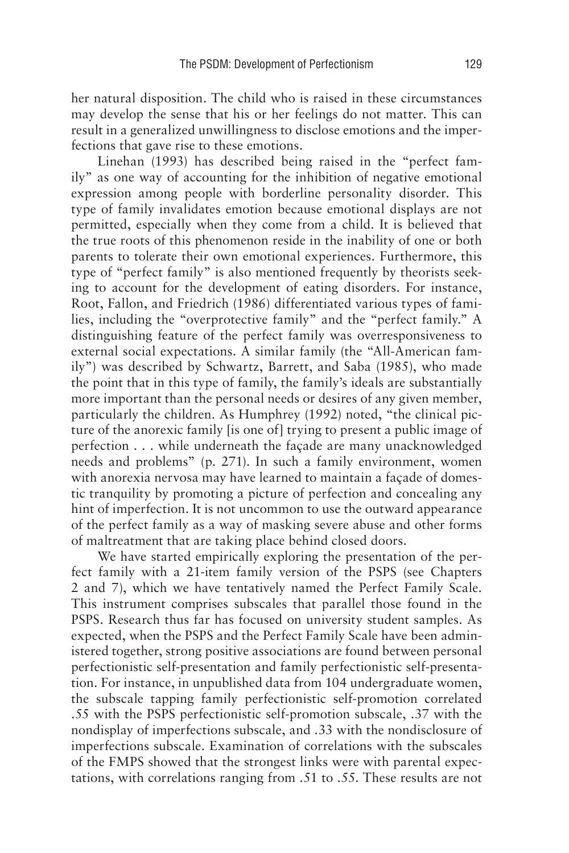her natural disposition. The child who is raised in these circumstances may develop the sense that his or her feelings do not matter. This can result in a generalized unwillingness to disclose emotions and the imperfections that gave rise to these emotions.

Linehan (1993) has described being raised in the "perfect family" as one way of accounting for the inhibition of negative emotional expression among people with borderline personality disorder. This type of family invalidates emotion because emotional displays are not permitted, especially when they come from a child. It is believed that the true roots of this phenomenon reside in the inability of one or both parents to tolerate their own emotional experiences. Furthermore, this type of "perfect family" is also mentioned frequently by theorists seeking to account for the development of eating disorders. For instance, Root, Fallon, and Friedrich (1986) differentiated various types of families, including the "overprotective family" and the "perfect family." A distinguishing feature of the perfect family was overresponsiveness to external social expectations. A similar family (the "All-American family") was described by Schwartz, Barrett, and Saba (1985), who made the point that in this type of family, the family's ideals are substantially more important than the personal needs or desires of any given member, particularly the children. As Humphrey (1992) noted, "the clinical picture of the anorexic family [is one of] trying to present a public image of perfection . . . while underneath the façade are many unacknowledged needs and problems" (p. 271). In such a family environment, women with anorexia nervosa may have learned to maintain a façade of domestic tranquility by promoting a picture of perfection and concealing any hint of imperfection. It is not uncommon to use the outward appearance of the perfect family as a way of masking severe abuse and other forms of maltreatment that are taking place behind closed doors.

We have started empirically exploring the presentation of the perfect family with a 21-item family version of the PSPS (see Chapters 2 and 7), which we have tentatively named the Perfect Family Scale. This instrument comprises subscales that parallel those found in the PSPS. Research thus far has focused on university student samples. As expected, when the PSPS and the Perfect Family Scale have been administered together, strong positive associations are found between personal perfectionistic self-presentation and family perfectionistic self-presentation. For instance, in unpublished data from 104 undergraduate women, the subscale tapping family perfectionistic self-promotion correlated .55 with the PSPS perfectionistic self-promotion subscale, .37 with the nondisplay of imperfections subscale, and .33 with the nondisclosure of imperfections subscale. Examination of correlations with the subscales of the FMPS showed that the strongest links were with parental expectations, with correlations ranging from .51 to .55. These results are not